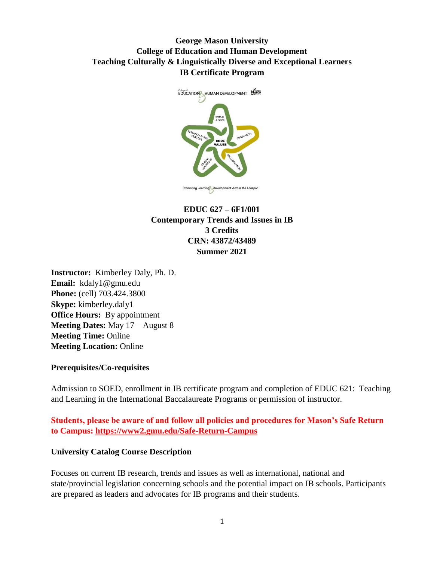# **George Mason University College of Education and Human Development Teaching Culturally & Linguistically Diverse and Exceptional Learners IB Certificate Program**



# **EDUC 627 – 6F1/001 Contemporary Trends and Issues in IB 3 Credits CRN: 43872/43489 Summer 2021**

**Instructor:** Kimberley Daly, Ph. D. **Email:** [kdaly1@gmu.edu](mailto:kdaly1@gmu.edu) **Phone:** (cell) 703.424.3800 **Skype:** kimberley.daly1 **Office Hours:** By appointment **Meeting Dates:** May 17 – August 8 **Meeting Time:** Online **Meeting Location:** Online

### **Prerequisites/Co-requisites**

Admission to SOED, enrollment in IB certificate program and completion of EDUC 621: Teaching and Learning in the International Baccalaureate Programs or permission of instructor.

**Students, please be aware of and follow all policies and procedures for Mason's Safe Return to Campus:<https://www2.gmu.edu/Safe-Return-Campus>**

### **University Catalog Course Description**

Focuses on current IB research, trends and issues as well as international, national and state/provincial legislation concerning schools and the potential impact on IB schools. Participants are prepared as leaders and advocates for IB programs and their students.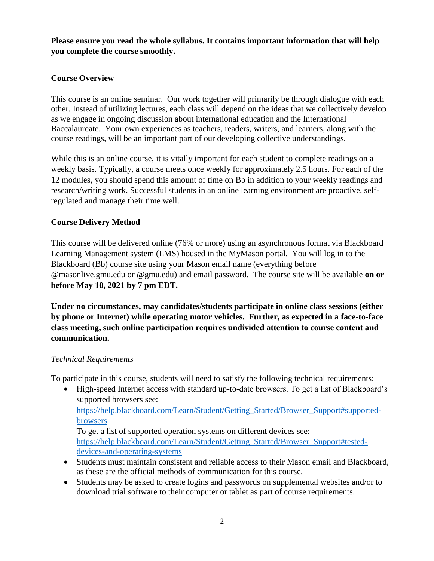# **Please ensure you read the whole syllabus. It contains important information that will help you complete the course smoothly.**

# **Course Overview**

This course is an online seminar. Our work together will primarily be through dialogue with each other. Instead of utilizing lectures, each class will depend on the ideas that we collectively develop as we engage in ongoing discussion about international education and the International Baccalaureate. Your own experiences as teachers, readers, writers, and learners, along with the course readings, will be an important part of our developing collective understandings.

While this is an online course, it is vitally important for each student to complete readings on a weekly basis. Typically, a course meets once weekly for approximately 2.5 hours. For each of the 12 modules, you should spend this amount of time on Bb in addition to your weekly readings and research/writing work. Successful students in an online learning environment are proactive, selfregulated and manage their time well.

## **Course Delivery Method**

This course will be delivered online (76% or more) using an asynchronous format via Blackboard Learning Management system (LMS) housed in the MyMason portal. You will log in to the Blackboard (Bb) course site using your Mason email name (everything before @masonlive.gmu.edu or @gmu.edu) and email password. The course site will be available **on or before May 10, 2021 by 7 pm EDT.** 

**Under no circumstances, may candidates/students participate in online class sessions (either by phone or Internet) while operating motor vehicles. Further, as expected in a face-to-face class meeting, such online participation requires undivided attention to course content and communication.**

## *Technical Requirements*

To participate in this course, students will need to satisfy the following technical requirements:

• High-speed Internet access with standard up-to-date browsers. To get a list of Blackboard's supported browsers see: [https://help.blackboard.com/Learn/Student/Getting\\_Started/Browser\\_Support#supported](https://help.blackboard.com/Learn/Student/Getting_Started/Browser_Support#supported-browsers)[browsers](https://help.blackboard.com/Learn/Student/Getting_Started/Browser_Support#supported-browsers) To get a list of supported operation systems on different devices see:

[https://help.blackboard.com/Learn/Student/Getting\\_Started/Browser\\_Support#tested](https://help.blackboard.com/Learn/Student/Getting_Started/Browser_Support#tested-devices-and-operating-systems)[devices-and-operating-systems](https://help.blackboard.com/Learn/Student/Getting_Started/Browser_Support#tested-devices-and-operating-systems)

- Students must maintain consistent and reliable access to their Mason email and Blackboard, as these are the official methods of communication for this course.
- Students may be asked to create logins and passwords on supplemental websites and/or to download trial software to their computer or tablet as part of course requirements.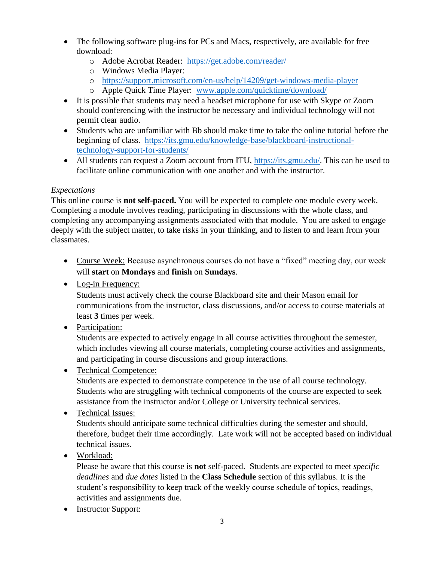- The following software plug-ins for PCs and Macs, respectively, are available for free download:
	- o Adobe Acrobat Reader: <https://get.adobe.com/reader/>
	- o Windows Media Player:
	- o <https://support.microsoft.com/en-us/help/14209/get-windows-media-player>
	- o Apple Quick Time Player: [www.apple.com/quicktime/download/](http://www.apple.com/quicktime/download/)
- It is possible that students may need a headset microphone for use with Skype or Zoom should conferencing with the instructor be necessary and individual technology will not permit clear audio.
- Students who are unfamiliar with Bb should make time to take the online tutorial before the beginning of class. [https://its.gmu.edu/knowledge-base/blackboard-instructional](https://its.gmu.edu/knowledge-base/blackboard-instructional-technology-support-for-students/)[technology-support-for-students/](https://its.gmu.edu/knowledge-base/blackboard-instructional-technology-support-for-students/)
- All students can request a Zoom account from ITU, [https://its.gmu.edu/.](https://its.gmu.edu/) This can be used to facilitate online communication with one another and with the instructor.

# *Expectations*

This online course is **not self-paced.** You will be expected to complete one module every week. Completing a module involves reading, participating in discussions with the whole class, and completing any accompanying assignments associated with that module. You are asked to engage deeply with the subject matter, to take risks in your thinking, and to listen to and learn from your classmates.

- Course Week: Because asynchronous courses do not have a "fixed" meeting day, our week will **start** on **Mondays** and **finish** on **Sundays**.
- Log-in Frequency:

Students must actively check the course Blackboard site and their Mason email for communications from the instructor, class discussions, and/or access to course materials at least **3** times per week.

• Participation:

Students are expected to actively engage in all course activities throughout the semester, which includes viewing all course materials, completing course activities and assignments, and participating in course discussions and group interactions.

• Technical Competence:

Students are expected to demonstrate competence in the use of all course technology. Students who are struggling with technical components of the course are expected to seek assistance from the instructor and/or College or University technical services.

• Technical Issues:

Students should anticipate some technical difficulties during the semester and should, therefore, budget their time accordingly. Late work will not be accepted based on individual technical issues.

• Workload:

Please be aware that this course is **not** self-paced. Students are expected to meet *specific deadlines* and *due dates* listed in the **Class Schedule** section of this syllabus. It is the student's responsibility to keep track of the weekly course schedule of topics, readings, activities and assignments due.

• Instructor Support: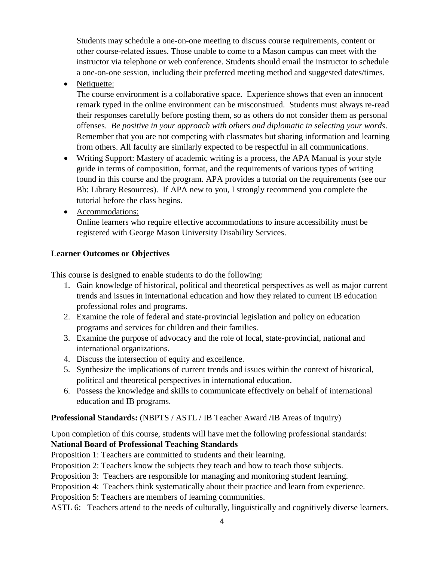Students may schedule a one-on-one meeting to discuss course requirements, content or other course-related issues. Those unable to come to a Mason campus can meet with the instructor via telephone or web conference. Students should email the instructor to schedule a one-on-one session, including their preferred meeting method and suggested dates/times.

• Netiquette:

The course environment is a collaborative space. Experience shows that even an innocent remark typed in the online environment can be misconstrued. Students must always re-read their responses carefully before posting them, so as others do not consider them as personal offenses. *Be positive in your approach with others and diplomatic in selecting your words*. Remember that you are not competing with classmates but sharing information and learning from others. All faculty are similarly expected to be respectful in all communications.

- Writing Support: Mastery of academic writing is a process, the APA Manual is your style guide in terms of composition, format, and the requirements of various types of writing found in this course and the program. APA provides a tutorial on the requirements (see our Bb: Library Resources). If APA new to you, I strongly recommend you complete the tutorial before the class begins.
- Accommodations:

Online learners who require effective accommodations to insure accessibility must be registered with George Mason University Disability Services.

# **Learner Outcomes or Objectives**

This course is designed to enable students to do the following:

- 1. Gain knowledge of historical, political and theoretical perspectives as well as major current trends and issues in international education and how they related to current IB education professional roles and programs.
- 2. Examine the role of federal and state-provincial legislation and policy on education programs and services for children and their families.
- 3. Examine the purpose of advocacy and the role of local, state-provincial, national and international organizations.
- 4. Discuss the intersection of equity and excellence.
- 5. Synthesize the implications of current trends and issues within the context of historical, political and theoretical perspectives in international education.
- 6. Possess the knowledge and skills to communicate effectively on behalf of international education and IB programs.

# **Professional Standards:** (NBPTS / ASTL / IB Teacher Award /IB Areas of Inquiry)

Upon completion of this course, students will have met the following professional standards: **National Board of Professional Teaching Standards**

Proposition 1: Teachers are committed to students and their learning.

Proposition 2: Teachers know the subjects they teach and how to teach those subjects.

Proposition 3: Teachers are responsible for managing and monitoring student learning.

Proposition 4: Teachers think systematically about their practice and learn from experience.

Proposition 5: Teachers are members of learning communities.

ASTL 6: Teachers attend to the needs of culturally, linguistically and cognitively diverse learners.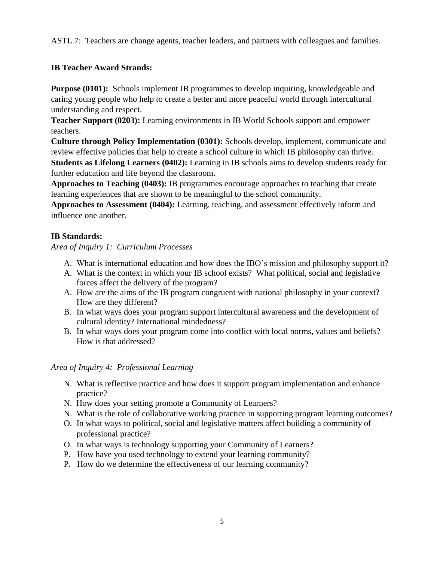ASTL 7: Teachers are change agents, teacher leaders, and partners with colleagues and families.

# **IB Teacher Award Strands:**

**Purpose (0101):** Schools implement IB programmes to develop inquiring, knowledgeable and caring young people who help to create a better and more peaceful world through intercultural understanding and respect.

**Teacher Support (0203):** Learning environments in IB World Schools support and empower teachers.

**Culture through Policy Implementation (0301):** Schools develop, implement, communicate and review effective policies that help to create a school culture in which IB philosophy can thrive.

**Students as Lifelong Learners (0402):** Learning in IB schools aims to develop students ready for further education and life beyond the classroom.

**Approaches to Teaching (0403):** IB programmes encourage approaches to teaching that create learning experiences that are shown to be meaningful to the school community.

**Approaches to Assessment (0404):** Learning, teaching, and assessment effectively inform and influence one another.

# **IB Standards:**

*Area of Inquiry 1: Curriculum Processes*

- A. What is international education and how does the IBO's mission and philosophy support it?
- A. What is the context in which your IB school exists? What political, social and legislative forces affect the delivery of the program?
- A. How are the aims of the IB program congruent with national philosophy in your context? How are they different?
- B. In what ways does your program support intercultural awareness and the development of cultural identity? International mindedness?
- B. In what ways does your program come into conflict with local norms, values and beliefs? How is that addressed?

## *Area of Inquiry 4: Professional Learning*

- N. What is reflective practice and how does it support program implementation and enhance practice?
- N. How does your setting promote a Community of Learners?
- N. What is the role of collaborative working practice in supporting program learning outcomes?
- O. In what ways to political, social and legislative matters affect building a community of professional practice?
- O. In what ways is technology supporting your Community of Learners?
- P. How have you used technology to extend your learning community?
- P. How do we determine the effectiveness of our learning community?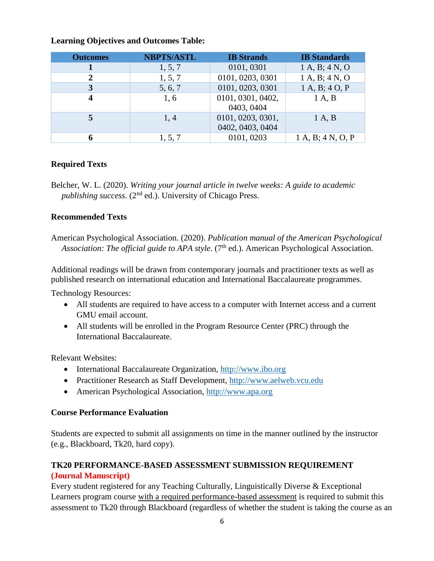| <b>Outcomes</b> | <b>NBPTS/ASTL</b> | <b>IB</b> Strands                     | <b>IB</b> Standards |
|-----------------|-------------------|---------------------------------------|---------------------|
|                 | 1, 5, 7           | 0101, 0301                            | 1 A, B; 4 N, O      |
|                 | 1, 5, 7           | 0101, 0203, 0301                      | 1 A, B; 4 N, O      |
|                 | 5, 6, 7           | 0101, 0203, 0301                      | 1 A, B; 4 O, P      |
|                 | 1,6               | 0101, 0301, 0402,<br>0403, 0404       | 1 A, B              |
|                 | 1,4               | 0101, 0203, 0301,<br>0402, 0403, 0404 | 1 A, B              |
|                 | 1, 5, 7           | 0101, 0203                            | 1 A, B; 4 N, O, P   |

### **Learning Objectives and Outcomes Table:**

### **Required Texts**

Belcher, W. L. (2020). *Writing your journal article in twelve weeks: A guide to academic*  publishing success. (2<sup>nd</sup> ed.). University of Chicago Press.

### **Recommended Texts**

American Psychological Association. (2020). *Publication manual of the American Psychological*  Association: The official guide to APA style. (7<sup>th</sup> ed.). American Psychological Association.

Additional readings will be drawn from contemporary journals and practitioner texts as well as published research on international education and International Baccalaureate programmes.

Technology Resources:

- All students are required to have access to a computer with Internet access and a current GMU email account.
- All students will be enrolled in the Program Resource Center (PRC) through the International Baccalaureate.

Relevant Websites:

- International Baccalaureate Organization, [http://www.ibo.org](http://www.ibo.org/)
- Practitioner Research as Staff Development, [http://www.aelweb.vcu.edu](http://www.aelweb.vcu.edu/)
- American Psychological Association, [http://www.apa.org](http://www.apa.org/)

### **Course Performance Evaluation**

Students are expected to submit all assignments on time in the manner outlined by the instructor (e.g., Blackboard, Tk20, hard copy).

# **TK20 PERFORMANCE-BASED ASSESSMENT SUBMISSION REQUIREMENT (Journal Manuscript)**

Every student registered for any Teaching Culturally, Linguistically Diverse & Exceptional Learners program course with a required performance-based assessment is required to submit this assessment to Tk20 through Blackboard (regardless of whether the student is taking the course as an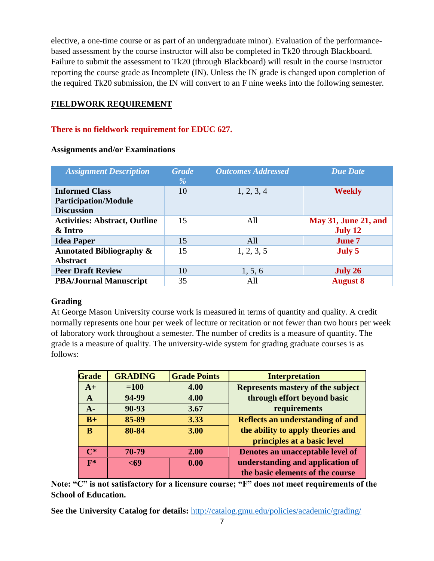elective, a one-time course or as part of an undergraduate minor). Evaluation of the performancebased assessment by the course instructor will also be completed in Tk20 through Blackboard. Failure to submit the assessment to Tk20 (through Blackboard) will result in the course instructor reporting the course grade as Incomplete (IN). Unless the IN grade is changed upon completion of the required Tk20 submission, the IN will convert to an F nine weeks into the following semester.

# **FIELDWORK REQUIREMENT**

## **There is no fieldwork requirement for EDUC 627.**

| <b>Assignment Description</b>                          | <b>Grade</b><br>$\frac{0}{0}$ | <b>Outcomes Addressed</b> | <b>Due Date</b>             |
|--------------------------------------------------------|-------------------------------|---------------------------|-----------------------------|
| <b>Informed Class</b><br><b>Participation/Module</b>   | 10                            | 1, 2, 3, 4                | <b>Weekly</b>               |
| <b>Discussion</b>                                      |                               |                           |                             |
| <b>Activities: Abstract, Outline</b>                   | 15                            | All                       | <b>May 31, June 21, and</b> |
| & Intro                                                |                               |                           | <b>July 12</b>              |
| <b>Idea Paper</b>                                      | 15                            | All                       | <b>June 7</b>               |
| <b>Annotated Bibliography &amp;</b><br><b>Abstract</b> | 15                            | 1, 2, 3, 5                | July 5                      |
| <b>Peer Draft Review</b>                               | 10                            | 1, 5, 6                   | July 26                     |
| <b>PBA/Journal Manuscript</b>                          | 35                            | All                       | <b>August 8</b>             |

### **Assignments and/or Examinations**

## **Grading**

At George Mason University course work is measured in terms of quantity and quality. A credit normally represents one hour per week of lecture or recitation or not fewer than two hours per week of laboratory work throughout a semester. The number of credits is a measure of quantity. The grade is a measure of quality. The university-wide system for grading graduate courses is as follows:

| <b>Grade</b>   | <b>GRADING</b> | <b>Grade Points</b> | <b>Interpretation</b>                   |
|----------------|----------------|---------------------|-----------------------------------------|
| $A+$           | $=100$         | 4.00                | Represents mastery of the subject       |
| A              | 94-99          | 4.00                | through effort beyond basic             |
| $A -$          | 90-93          | 3.67                | requirements                            |
| $B+$           | 85-89          | 3.33                | <b>Reflects an understanding of and</b> |
| B              | 80-84          | 3.00                | the ability to apply theories and       |
|                |                |                     | principles at a basic level             |
| $\mathsf{C}^*$ | 70-79          | 2.00                | Denotes an unacceptable level of        |
| $\mathbf{F}^*$ | $69$           | 0.00                | understanding and application of        |
|                |                |                     | the basic elements of the course        |

**Note: "C" is not satisfactory for a licensure course; "F" does not meet requirements of the School of Education.**

**See the University Catalog for details:** <http://catalog.gmu.edu/policies/academic/grading/>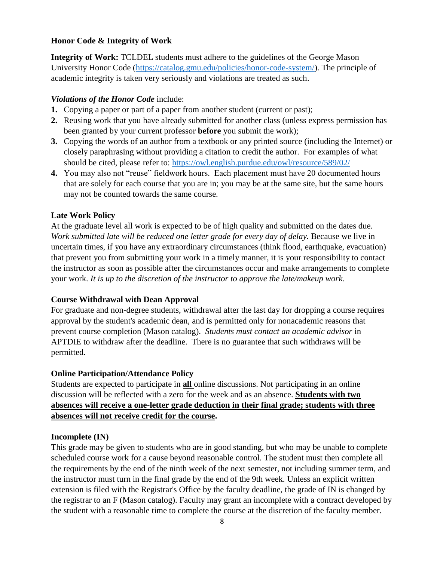### **Honor Code & Integrity of Work**

**Integrity of Work:** TCLDEL students must adhere to the guidelines of the George Mason University Honor Code [\(https://catalog.gmu.edu/policies/honor-code-system/\)](https://catalog.gmu.edu/policies/honor-code-system/). The principle of academic integrity is taken very seriously and violations are treated as such.

### *Violations of the Honor Code* include:

- **1.** Copying a paper or part of a paper from another student (current or past);
- **2.** Reusing work that you have already submitted for another class (unless express permission has been granted by your current professor **before** you submit the work);
- **3.** Copying the words of an author from a textbook or any printed source (including the Internet) or closely paraphrasing without providing a citation to credit the author. For examples of what should be cited, please refer to:<https://owl.english.purdue.edu/owl/resource/589/02/>
- **4.** You may also not "reuse" fieldwork hours. Each placement must have 20 documented hours that are solely for each course that you are in; you may be at the same site, but the same hours may not be counted towards the same course.

## **Late Work Policy**

At the graduate level all work is expected to be of high quality and submitted on the dates due. *Work submitted late will be reduced one letter grade for every day of delay.* Because we live in uncertain times, if you have any extraordinary circumstances (think flood, earthquake, evacuation) that prevent you from submitting your work in a timely manner, it is your responsibility to contact the instructor as soon as possible after the circumstances occur and make arrangements to complete your work. *It is up to the discretion of the instructor to approve the late/makeup work.*

## **Course Withdrawal with Dean Approval**

For graduate and non-degree students, withdrawal after the last day for dropping a course requires approval by the student's academic dean, and is permitted only for nonacademic reasons that prevent course completion (Mason catalog). *Students must contact an academic advisor* in APTDIE to withdraw after the deadline. There is no guarantee that such withdraws will be permitted.

### **Online Participation/Attendance Policy**

Students are expected to participate in **all** online discussions. Not participating in an online discussion will be reflected with a zero for the week and as an absence. **Students with two absences will receive a one-letter grade deduction in their final grade; students with three absences will not receive credit for the course.**

### **Incomplete (IN)**

This grade may be given to students who are in good standing, but who may be unable to complete scheduled course work for a cause beyond reasonable control. The student must then complete all the requirements by the end of the ninth week of the next semester, not including summer term, and the instructor must turn in the final grade by the end of the 9th week. Unless an explicit written extension is filed with the Registrar's Office by the faculty deadline, the grade of IN is changed by the registrar to an F (Mason catalog). Faculty may grant an incomplete with a contract developed by the student with a reasonable time to complete the course at the discretion of the faculty member.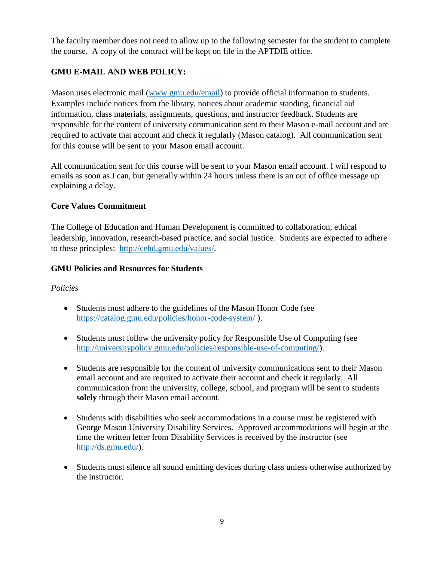The faculty member does not need to allow up to the following semester for the student to complete the course. A copy of the contract will be kept on file in the APTDIE office.

# **GMU E-MAIL AND WEB POLICY:**

Mason uses electronic mail [\(www.gmu.edu/email\)](http://www.gmu.edu/email) to provide official information to students. Examples include notices from the library, notices about academic standing, financial aid information, class materials, assignments, questions, and instructor feedback. Students are responsible for the content of university communication sent to their Mason e-mail account and are required to activate that account and check it regularly (Mason catalog). All communication sent for this course will be sent to your Mason email account.

All communication sent for this course will be sent to your Mason email account. I will respond to emails as soon as I can, but generally within 24 hours unless there is an out of office message up explaining a delay.

## **Core Values Commitment**

The College of Education and Human Development is committed to collaboration, ethical leadership, innovation, research-based practice, and social justice. Students are expected to adhere to these principles: [http://cehd.gmu.edu/values/.](http://cehd.gmu.edu/values/)

## **GMU Policies and Resources for Students**

### *Policies*

- Students must adhere to the guidelines of the Mason Honor Code (see <https://catalog.gmu.edu/policies/honor-code-system/> ).
- Students must follow the university policy for Responsible Use of Computing (see [http://universitypolicy.gmu.edu/policies/responsible-use-of-computing/\)](http://universitypolicy.gmu.edu/policies/responsible-use-of-computing/).
- Students are responsible for the content of university communications sent to their Mason email account and are required to activate their account and check it regularly. All communication from the university, college, school, and program will be sent to students **solely** through their Mason email account.
- Students with disabilities who seek accommodations in a course must be registered with George Mason University Disability Services. Approved accommodations will begin at the time the written letter from Disability Services is received by the instructor (see [http://ds.gmu.edu/\)](http://ds.gmu.edu/).
- Students must silence all sound emitting devices during class unless otherwise authorized by the instructor.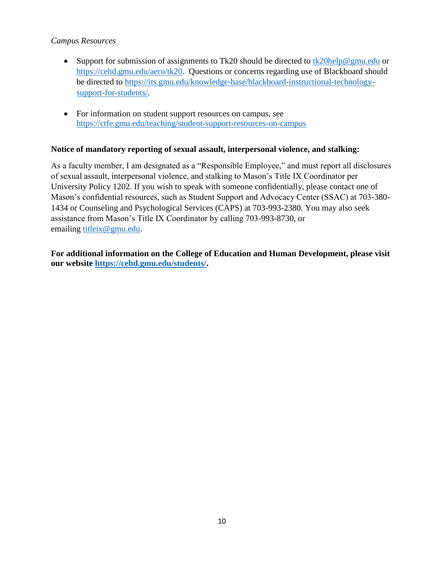### *Campus Resources*

- Support for submission of assignments to Tk20 should be directed to [tk20help@gmu.edu](mailto:tk20help@gmu.edu) or [https://cehd.gmu.edu/aero/tk20.](https://cehd.gmu.edu/aero/tk20) Questions or concerns regarding use of Blackboard should be directed to [https://its.gmu.edu/knowledge-base/blackboard-instructional-technology](https://its.gmu.edu/knowledge-base/blackboard-instructional-technology-support-for-students/)[support-for-students/.](https://its.gmu.edu/knowledge-base/blackboard-instructional-technology-support-for-students/)
- For information on student support resources on campus, see <https://ctfe.gmu.edu/teaching/student-support-resources-on-campus>

### **Notice of mandatory reporting of sexual assault, interpersonal violence, and stalking:**

As a faculty member, I am designated as a "Responsible Employee," and must report all disclosures of sexual assault, interpersonal violence, and stalking to Mason's Title IX Coordinator per University Policy 1202. If you wish to speak with someone confidentially, please contact one of Mason's confidential resources, such as Student Support and Advocacy Center (SSAC) at 703-380- 1434 or Counseling and Psychological Services (CAPS) at 703-993-2380. You may also seek assistance from Mason's Title IX Coordinator by calling 703-993-8730, or emailing [titleix@gmu.edu.](mailto:titleix@gmu.edu)

**For additional information on the College of Education and Human Development, please visit our website [https://cehd.gmu.edu/students/.](https://cehd.gmu.edu/students/)**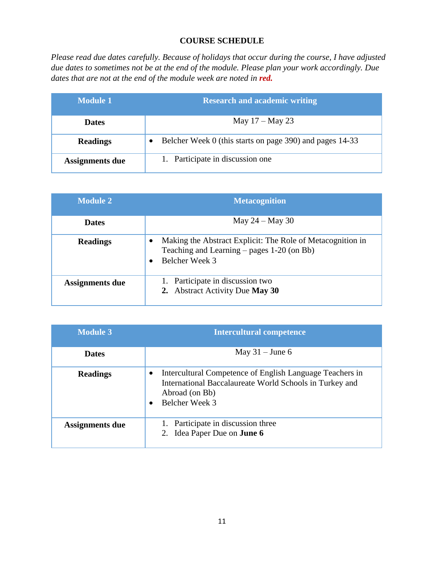## **COURSE SCHEDULE**

*Please read due dates carefully. Because of holidays that occur during the course, I have adjusted due dates to sometimes not be at the end of the module. Please plan your work accordingly. Due dates that are not at the end of the module week are noted in red.* 

| Module 1        | <b>Research and academic writing</b>                     |  |
|-----------------|----------------------------------------------------------|--|
| <b>Dates</b>    | May $17 -$ May 23                                        |  |
| <b>Readings</b> | Belcher Week 0 (this starts on page 390) and pages 14-33 |  |
| Assignments due | 1. Participate in discussion one                         |  |

| <b>Module 2</b> | <b>Metacognition</b>                                                                                                              |
|-----------------|-----------------------------------------------------------------------------------------------------------------------------------|
| <b>Dates</b>    | May $24 -$ May 30                                                                                                                 |
| <b>Readings</b> | Making the Abstract Explicit: The Role of Metacognition in<br>٠<br>Teaching and Learning $-$ pages 1-20 (on Bb)<br>Belcher Week 3 |
| Assignments due | 1. Participate in discussion two<br>2. Abstract Activity Due May 30                                                               |

| <b>Module 3</b> | <b>Intercultural competence</b>                                                                                                                              |  |
|-----------------|--------------------------------------------------------------------------------------------------------------------------------------------------------------|--|
| <b>Dates</b>    | May $31 -$ June 6                                                                                                                                            |  |
| <b>Readings</b> | Intercultural Competence of English Language Teachers in<br>٠<br>International Baccalaureate World Schools in Turkey and<br>Abroad (on Bb)<br>Belcher Week 3 |  |
| Assignments due | 1. Participate in discussion three<br>2. Idea Paper Due on <b>June 6</b>                                                                                     |  |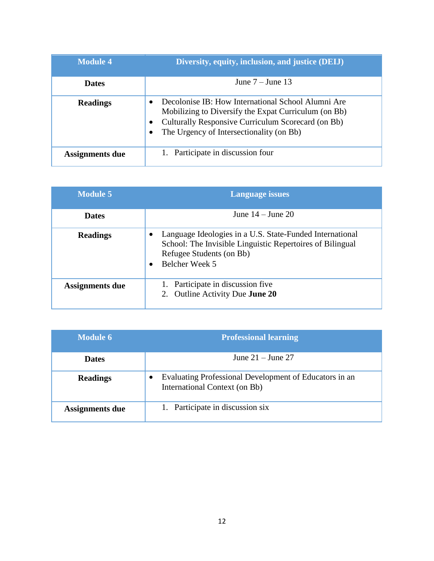| <b>Module 4</b>        | Diversity, equity, inclusion, and justice (DEIJ)                                                                                                                                                             |
|------------------------|--------------------------------------------------------------------------------------------------------------------------------------------------------------------------------------------------------------|
| <b>Dates</b>           | June $7 -$ June 13                                                                                                                                                                                           |
| <b>Readings</b>        | Decolonise IB: How International School Alumni Are<br>Mobilizing to Diversify the Expat Curriculum (on Bb)<br>Culturally Responsive Curriculum Scorecard (on Bb)<br>The Urgency of Intersectionality (on Bb) |
| <b>Assignments due</b> | 1. Participate in discussion four                                                                                                                                                                            |

| <b>Module 5</b> | <b>Language issues</b>                                                                                                                                              |
|-----------------|---------------------------------------------------------------------------------------------------------------------------------------------------------------------|
| <b>Dates</b>    | June $14 -$ June $20$                                                                                                                                               |
| <b>Readings</b> | Language Ideologies in a U.S. State-Funded International<br>School: The Invisible Linguistic Repertoires of Bilingual<br>Refugee Students (on Bb)<br>Belcher Week 5 |
| Assignments due | 1. Participate in discussion five<br>2. Outline Activity Due <b>June 20</b>                                                                                         |

| Module 6               | <b>Professional learning</b>                                                            |
|------------------------|-----------------------------------------------------------------------------------------|
| <b>Dates</b>           | June $21 -$ June $27$                                                                   |
| <b>Readings</b>        | Evaluating Professional Development of Educators in an<br>International Context (on Bb) |
| <b>Assignments due</b> | 1. Participate in discussion six                                                        |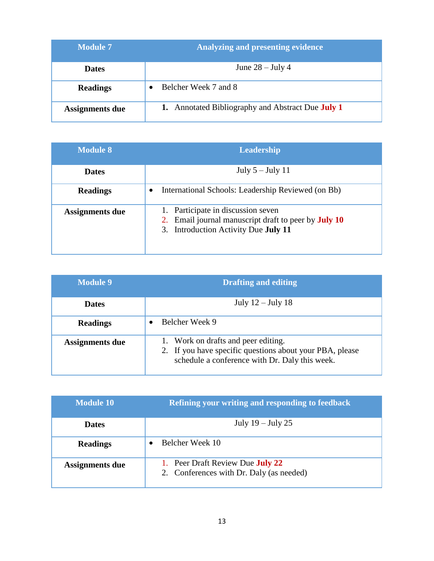| <b>Module 7</b>        | <b>Analyzing and presenting evidence</b>          |
|------------------------|---------------------------------------------------|
| <b>Dates</b>           | June $28 -$ July 4                                |
| <b>Readings</b>        | Belcher Week 7 and 8                              |
| <b>Assignments due</b> | 1. Annotated Bibliography and Abstract Due July 1 |

| Module 8        | Leadership                                                                                                                                |  |
|-----------------|-------------------------------------------------------------------------------------------------------------------------------------------|--|
| <b>Dates</b>    | July $5 -$ July 11                                                                                                                        |  |
| <b>Readings</b> | International Schools: Leadership Reviewed (on Bb)<br>$\bullet$                                                                           |  |
| Assignments due | 1. Participate in discussion seven<br>2. Email journal manuscript draft to peer by <b>July 10</b><br>3. Introduction Activity Due July 11 |  |

| <b>Module 9</b>        | <b>Drafting and editing</b>                                                                                                                       |  |
|------------------------|---------------------------------------------------------------------------------------------------------------------------------------------------|--|
| <b>Dates</b>           | July $12$ – July 18                                                                                                                               |  |
| <b>Readings</b>        | Belcher Week 9                                                                                                                                    |  |
| <b>Assignments due</b> | 1. Work on drafts and peer editing.<br>2. If you have specific questions about your PBA, please<br>schedule a conference with Dr. Daly this week. |  |

| <b>Module 10</b> | <b>Refining your writing and responding to feedback</b>                             |
|------------------|-------------------------------------------------------------------------------------|
| <b>Dates</b>     | July $19$ – July 25                                                                 |
| <b>Readings</b>  | Belcher Week 10                                                                     |
| Assignments due  | 1. Peer Draft Review Due <b>July 22</b><br>2. Conferences with Dr. Daly (as needed) |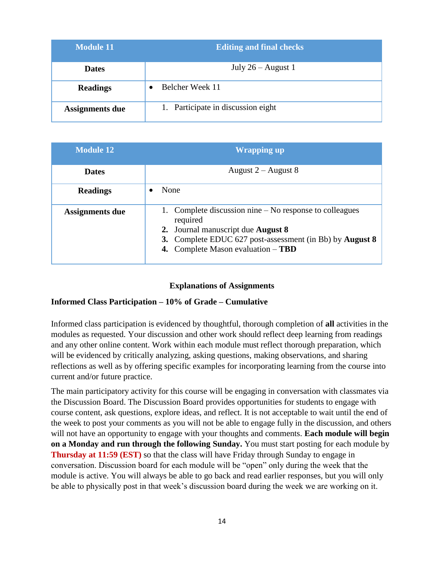| $\overline{\mathbf{Module}}$ 11 | <b>Editing and final checks</b>    |
|---------------------------------|------------------------------------|
| <b>Dates</b>                    | July $26 -$ August 1               |
| <b>Readings</b>                 | Belcher Week 11                    |
| <b>Assignments due</b>          | 1. Participate in discussion eight |

| <b>Module 12</b>       | <b>Wrapping up</b>                                                                                                                                                                                                        |  |  |
|------------------------|---------------------------------------------------------------------------------------------------------------------------------------------------------------------------------------------------------------------------|--|--|
| <b>Dates</b>           | August $2 -$ August 8                                                                                                                                                                                                     |  |  |
| <b>Readings</b>        | None                                                                                                                                                                                                                      |  |  |
| <b>Assignments due</b> | 1. Complete discussion nine – No response to colleagues<br>required<br>2. Journal manuscript due <b>August 8</b><br>3. Complete EDUC 627 post-assessment (in Bb) by <b>August 8</b><br>4. Complete Mason evaluation - TBD |  |  |

### **Explanations of Assignments**

#### **Informed Class Participation – 10% of Grade – Cumulative**

Informed class participation is evidenced by thoughtful, thorough completion of **all** activities in the modules as requested. Your discussion and other work should reflect deep learning from readings and any other online content. Work within each module must reflect thorough preparation, which will be evidenced by critically analyzing, asking questions, making observations, and sharing reflections as well as by offering specific examples for incorporating learning from the course into current and/or future practice.

The main participatory activity for this course will be engaging in conversation with classmates via the Discussion Board. The Discussion Board provides opportunities for students to engage with course content, ask questions, explore ideas, and reflect. It is not acceptable to wait until the end of the week to post your comments as you will not be able to engage fully in the discussion, and others will not have an opportunity to engage with your thoughts and comments. **Each module will begin on a Monday and run through the following Sunday.** You must start posting for each module by **Thursday at 11:59 (EST)** so that the class will have Friday through Sunday to engage in conversation. Discussion board for each module will be "open" only during the week that the module is active. You will always be able to go back and read earlier responses, but you will only be able to physically post in that week's discussion board during the week we are working on it.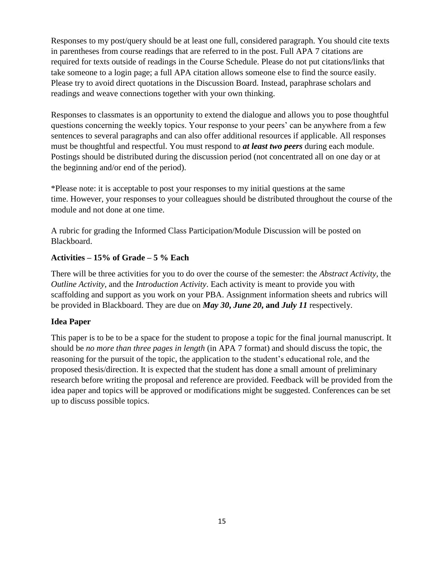Responses to my post/query should be at least one full, considered paragraph. You should cite texts in parentheses from course readings that are referred to in the post. Full APA 7 citations are required for texts outside of readings in the Course Schedule. Please do not put citations/links that take someone to a login page; a full APA citation allows someone else to find the source easily. Please try to avoid direct quotations in the Discussion Board. Instead, paraphrase scholars and readings and weave connections together with your own thinking.

Responses to classmates is an opportunity to extend the dialogue and allows you to pose thoughtful questions concerning the weekly topics. Your response to your peers' can be anywhere from a few sentences to several paragraphs and can also offer additional resources if applicable. All responses must be thoughtful and respectful. You must respond to *at least two peers* during each module. Postings should be distributed during the discussion period (not concentrated all on one day or at the beginning and/or end of the period).

\*Please note: it is acceptable to post your responses to my initial questions at the same time. However, your responses to your colleagues should be distributed throughout the course of the module and not done at one time.

A rubric for grading the Informed Class Participation/Module Discussion will be posted on Blackboard.

## **Activities – 15% of Grade – 5 % Each**

There will be three activities for you to do over the course of the semester: the *Abstract Activity*, the *Outline Activity*, and the *Introduction Activity*. Each activity is meant to provide you with scaffolding and support as you work on your PBA. Assignment information sheets and rubrics will be provided in Blackboard. They are due on *May 30***,** *June 20***, and** *July 11* respectively.

## **Idea Paper**

This paper is to be to be a space for the student to propose a topic for the final journal manuscript. It should be *no more than three pages in length* (in APA 7 format) and should discuss the topic, the reasoning for the pursuit of the topic, the application to the student's educational role, and the proposed thesis/direction. It is expected that the student has done a small amount of preliminary research before writing the proposal and reference are provided. Feedback will be provided from the idea paper and topics will be approved or modifications might be suggested. Conferences can be set up to discuss possible topics.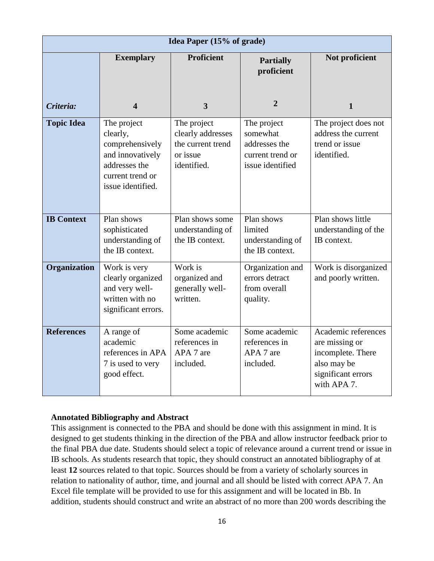| Idea Paper (15% of grade) |                                                                                                                          |                                                                                  |                                                                                  |                                                                                                                |
|---------------------------|--------------------------------------------------------------------------------------------------------------------------|----------------------------------------------------------------------------------|----------------------------------------------------------------------------------|----------------------------------------------------------------------------------------------------------------|
|                           | <b>Exemplary</b>                                                                                                         | <b>Proficient</b>                                                                | <b>Partially</b><br>proficient                                                   | Not proficient                                                                                                 |
| Criteria:                 | 4                                                                                                                        | $\overline{3}$                                                                   | $\overline{2}$                                                                   | $\mathbf{1}$                                                                                                   |
| <b>Topic Idea</b>         | The project<br>clearly,<br>comprehensively<br>and innovatively<br>addresses the<br>current trend or<br>issue identified. | The project<br>clearly addresses<br>the current trend<br>or issue<br>identified. | The project<br>somewhat<br>addresses the<br>current trend or<br>issue identified | The project does not<br>address the current<br>trend or issue<br>identified.                                   |
| <b>IB Context</b>         | Plan shows<br>sophisticated<br>understanding of<br>the IB context.                                                       | Plan shows some<br>understanding of<br>the IB context.                           | Plan shows<br>limited<br>understanding of<br>the IB context.                     | Plan shows little<br>understanding of the<br>IB context.                                                       |
| Organization              | Work is very<br>clearly organized<br>and very well-<br>written with no<br>significant errors.                            | Work is<br>organized and<br>generally well-<br>written.                          | Organization and<br>errors detract<br>from overall<br>quality.                   | Work is disorganized<br>and poorly written.                                                                    |
| <b>References</b>         | A range of<br>academic<br>references in APA<br>7 is used to very<br>good effect.                                         | Some academic<br>references in<br>APA 7 are<br>included.                         | Some academic<br>references in<br>APA 7 are<br>included.                         | Academic references<br>are missing or<br>incomplete. There<br>also may be<br>significant errors<br>with APA 7. |

### **Annotated Bibliography and Abstract**

This assignment is connected to the PBA and should be done with this assignment in mind. It is designed to get students thinking in the direction of the PBA and allow instructor feedback prior to the final PBA due date. Students should select a topic of relevance around a current trend or issue in IB schools. As students research that topic, they should construct an annotated bibliography of at least **12** sources related to that topic. Sources should be from a variety of scholarly sources in relation to nationality of author, time, and journal and all should be listed with correct APA 7. An Excel file template will be provided to use for this assignment and will be located in Bb. In addition, students should construct and write an abstract of no more than 200 words describing the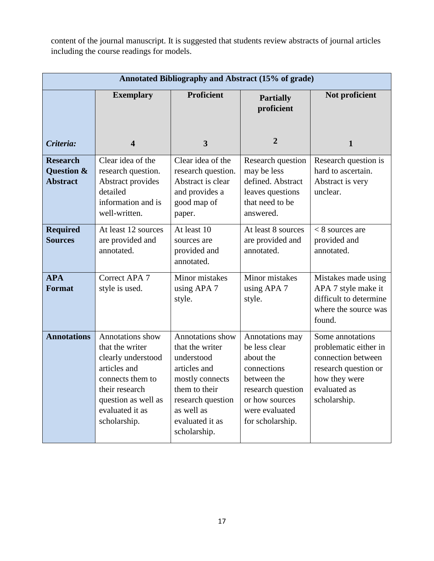content of the journal manuscript. It is suggested that students review abstracts of journal articles including the course readings for models.

| Annotated Bibliography and Abstract (15% of grade) |                                                                                                                                                                           |                                                                                                                                                                             |                                                                                                                                                          |                                                                                                                                          |
|----------------------------------------------------|---------------------------------------------------------------------------------------------------------------------------------------------------------------------------|-----------------------------------------------------------------------------------------------------------------------------------------------------------------------------|----------------------------------------------------------------------------------------------------------------------------------------------------------|------------------------------------------------------------------------------------------------------------------------------------------|
|                                                    | <b>Exemplary</b>                                                                                                                                                          | <b>Proficient</b>                                                                                                                                                           | <b>Partially</b><br>proficient                                                                                                                           | Not proficient                                                                                                                           |
| Criteria:                                          | $\overline{\mathbf{4}}$                                                                                                                                                   | $\overline{3}$                                                                                                                                                              | $\overline{2}$                                                                                                                                           | $\mathbf{1}$                                                                                                                             |
| <b>Research</b><br>Question &<br><b>Abstract</b>   | Clear idea of the<br>research question.<br>Abstract provides<br>detailed<br>information and is<br>well-written.                                                           | Clear idea of the<br>research question.<br>Abstract is clear<br>and provides a<br>good map of<br>paper.                                                                     | Research question<br>may be less<br>defined. Abstract<br>leaves questions<br>that need to be<br>answered.                                                | Research question is<br>hard to ascertain.<br>Abstract is very<br>unclear.                                                               |
| <b>Required</b><br><b>Sources</b>                  | At least 12 sources<br>are provided and<br>annotated.                                                                                                                     | At least 10<br>sources are<br>provided and<br>annotated.                                                                                                                    | At least 8 sources<br>are provided and<br>annotated.                                                                                                     | $< 8$ sources are<br>provided and<br>annotated.                                                                                          |
| <b>APA</b><br>Format                               | Correct APA 7<br>style is used.                                                                                                                                           | Minor mistakes<br>using APA 7<br>style.                                                                                                                                     | <b>Minor</b> mistakes<br>using APA 7<br>style.                                                                                                           | Mistakes made using<br>APA 7 style make it<br>difficult to determine<br>where the source was<br>found.                                   |
| <b>Annotations</b>                                 | Annotations show<br>that the writer<br>clearly understood<br>articles and<br>connects them to<br>their research<br>question as well as<br>evaluated it as<br>scholarship. | Annotations show<br>that the writer<br>understood<br>articles and<br>mostly connects<br>them to their<br>research question<br>as well as<br>evaluated it as<br>scholarship. | Annotations may<br>be less clear<br>about the<br>connections<br>between the<br>research question<br>or how sources<br>were evaluated<br>for scholarship. | Some annotations<br>problematic either in<br>connection between<br>research question or<br>how they were<br>evaluated as<br>scholarship. |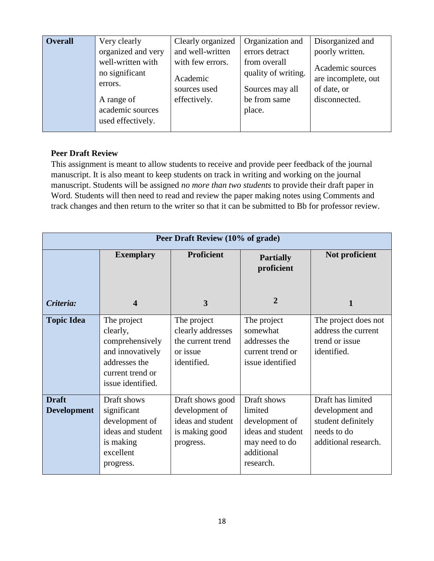| <b>Overall</b> | Very clearly                                        | Clearly organized | Organization and       | Disorganized and    |
|----------------|-----------------------------------------------------|-------------------|------------------------|---------------------|
|                | organized and very                                  | and well-written  | errors detract         | poorly written.     |
|                | well-written with                                   | with few errors.  | from overall           | Academic sources    |
|                | no significant                                      | Academic          | quality of writing.    | are incomplete, out |
|                | errors.                                             | sources used      | Sources may all        | of date, or         |
|                | A range of<br>academic sources<br>used effectively. | effectively.      | be from same<br>place. | disconnected.       |

### **Peer Draft Review**

This assignment is meant to allow students to receive and provide peer feedback of the journal manuscript. It is also meant to keep students on track in writing and working on the journal manuscript. Students will be assigned *no more than two students* to provide their draft paper in Word. Students will then need to read and review the paper making notes using Comments and track changes and then return to the writer so that it can be submitted to Bb for professor review.

| Peer Draft Review (10% of grade)   |                                                                                                                          |                                                                                        |                                                                                                            |                                                                                                   |
|------------------------------------|--------------------------------------------------------------------------------------------------------------------------|----------------------------------------------------------------------------------------|------------------------------------------------------------------------------------------------------------|---------------------------------------------------------------------------------------------------|
|                                    | <b>Exemplary</b>                                                                                                         | <b>Proficient</b>                                                                      | <b>Partially</b><br>proficient                                                                             | Not proficient                                                                                    |
| Criteria:                          | $\boldsymbol{4}$                                                                                                         | 3                                                                                      | $\overline{2}$                                                                                             | $\mathbf{1}$                                                                                      |
| <b>Topic Idea</b>                  | The project<br>clearly,<br>comprehensively<br>and innovatively<br>addresses the<br>current trend or<br>issue identified. | The project<br>clearly addresses<br>the current trend<br>or issue<br>identified.       | The project<br>somewhat<br>addresses the<br>current trend or<br>issue identified                           | The project does not<br>address the current<br>trend or issue<br>identified.                      |
| <b>Draft</b><br><b>Development</b> | Draft shows<br>significant<br>development of<br>ideas and student<br>is making<br>excellent<br>progress.                 | Draft shows good<br>development of<br>ideas and student<br>is making good<br>progress. | Draft shows<br>limited<br>development of<br>ideas and student<br>may need to do<br>additional<br>research. | Draft has limited<br>development and<br>student definitely<br>needs to do<br>additional research. |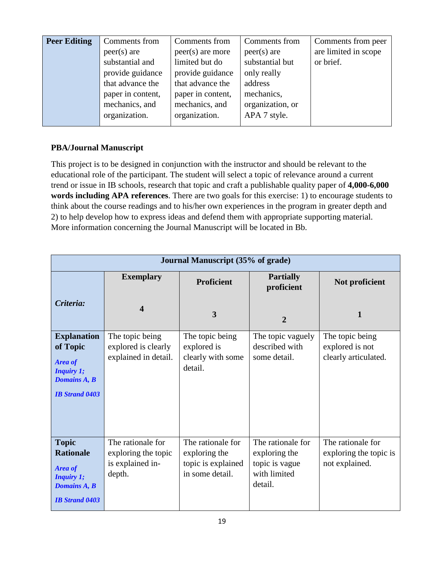| <b>Peer Editing</b> | Comments from     | Comments from      | Comments from    | Comments from peer   |
|---------------------|-------------------|--------------------|------------------|----------------------|
|                     | $peer(s)$ are     | $peer(s)$ are more | $peer(s)$ are    | are limited in scope |
|                     | substantial and   | limited but do     | substantial but  | or brief.            |
|                     | provide guidance  | provide guidance   | only really      |                      |
|                     | that advance the  | that advance the   | address          |                      |
|                     | paper in content, | paper in content,  | mechanics,       |                      |
|                     | mechanics, and    | mechanics, and     | organization, or |                      |
|                     | organization.     | organization.      | APA 7 style.     |                      |
|                     |                   |                    |                  |                      |

# **PBA/Journal Manuscript**

This project is to be designed in conjunction with the instructor and should be relevant to the educational role of the participant. The student will select a topic of relevance around a current trend or issue in IB schools, research that topic and craft a publishable quality paper of **4,000-6,000 words including APA references**. There are two goals for this exercise: 1) to encourage students to think about the course readings and to his/her own experiences in the program in greater depth and 2) to help develop how to express ideas and defend them with appropriate supporting material. More information concerning the Journal Manuscript will be located in Bb.

| <b>Journal Manuscript (35% of grade)</b>                                                                         |                                                                        |                                                                             |                                                                                 |                                                               |
|------------------------------------------------------------------------------------------------------------------|------------------------------------------------------------------------|-----------------------------------------------------------------------------|---------------------------------------------------------------------------------|---------------------------------------------------------------|
|                                                                                                                  | <b>Exemplary</b>                                                       | <b>Proficient</b>                                                           | <b>Partially</b><br>proficient                                                  | Not proficient                                                |
| Criteria:                                                                                                        | $\overline{\mathbf{4}}$                                                | 3                                                                           | $\overline{2}$                                                                  | 1                                                             |
| <b>Explanation</b><br>of Topic<br>Area of<br><b>Inquiry 1;</b><br><b>Domains A, B</b><br><b>IB Strand 0403</b>   | The topic being<br>explored is clearly<br>explained in detail.         | The topic being<br>explored is<br>clearly with some<br>detail.              | The topic vaguely<br>described with<br>some detail.                             | The topic being<br>explored is not<br>clearly articulated.    |
| <b>Topic</b><br><b>Rationale</b><br>Area of<br><b>Inquiry 1;</b><br><b>Domains A, B</b><br><b>IB Strand 0403</b> | The rationale for<br>exploring the topic<br>is explained in-<br>depth. | The rationale for<br>exploring the<br>topic is explained<br>in some detail. | The rationale for<br>exploring the<br>topic is vague<br>with limited<br>detail. | The rationale for<br>exploring the topic is<br>not explained. |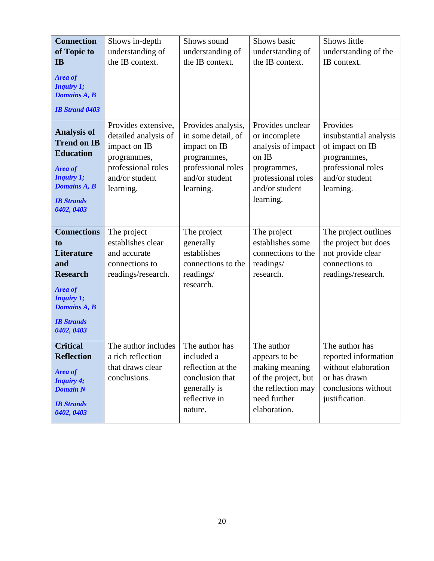| <b>Connection</b><br>of Topic to<br><b>IB</b><br>Area of<br><b>Inquiry 1;</b><br><b>Domains A, B</b><br><b>IB Strand 0403</b>                                     | Shows in-depth<br>understanding of<br>the IB context.                                                                           | Shows sound<br>understanding of<br>the IB context.                                                                           | Shows basic<br>understanding of<br>the IB context.                                                                                   | Shows little<br>understanding of the<br>IB context.                                                                       |
|-------------------------------------------------------------------------------------------------------------------------------------------------------------------|---------------------------------------------------------------------------------------------------------------------------------|------------------------------------------------------------------------------------------------------------------------------|--------------------------------------------------------------------------------------------------------------------------------------|---------------------------------------------------------------------------------------------------------------------------|
| <b>Analysis of</b><br><b>Trend on IB</b><br><b>Education</b><br>Area of<br><b>Inquiry 1;</b><br><b>Domains A, B</b><br><b>IB</b> Strands<br>0402, 0403            | Provides extensive,<br>detailed analysis of<br>impact on IB<br>programmes,<br>professional roles<br>and/or student<br>learning. | Provides analysis,<br>in some detail, of<br>impact on IB<br>programmes,<br>professional roles<br>and/or student<br>learning. | Provides unclear<br>or incomplete<br>analysis of impact<br>on IB<br>programmes,<br>professional roles<br>and/or student<br>learning. | Provides<br>insubstantial analysis<br>of impact on IB<br>programmes,<br>professional roles<br>and/or student<br>learning. |
| <b>Connections</b><br>to<br><b>Literature</b><br>and<br><b>Research</b><br>Area of<br><b>Inquiry 1;</b><br><b>Domains A, B</b><br><b>IB</b> Strands<br>0402, 0403 | The project<br>establishes clear<br>and accurate<br>connections to<br>readings/research.                                        | The project<br>generally<br>establishes<br>connections to the<br>readings/<br>research.                                      | The project<br>establishes some<br>connections to the<br>readings/<br>research.                                                      | The project outlines<br>the project but does<br>not provide clear<br>connections to<br>readings/research.                 |
| <b>Critical</b><br><b>Reflection</b><br><b>Area of</b><br><b>Inquiry 4;</b><br><b>Domain N</b><br><b>IB Strands</b><br>0402, 0403                                 | The author includes<br>a rich reflection<br>that draws clear<br>conclusions.                                                    | The author has<br>included a<br>reflection at the<br>conclusion that<br>generally is<br>reflective in<br>nature.             | The author<br>appears to be<br>making meaning<br>of the project, but<br>the reflection may<br>need further<br>elaboration.           | The author has<br>reported information<br>without elaboration<br>or has drawn<br>conclusions without<br>justification.    |